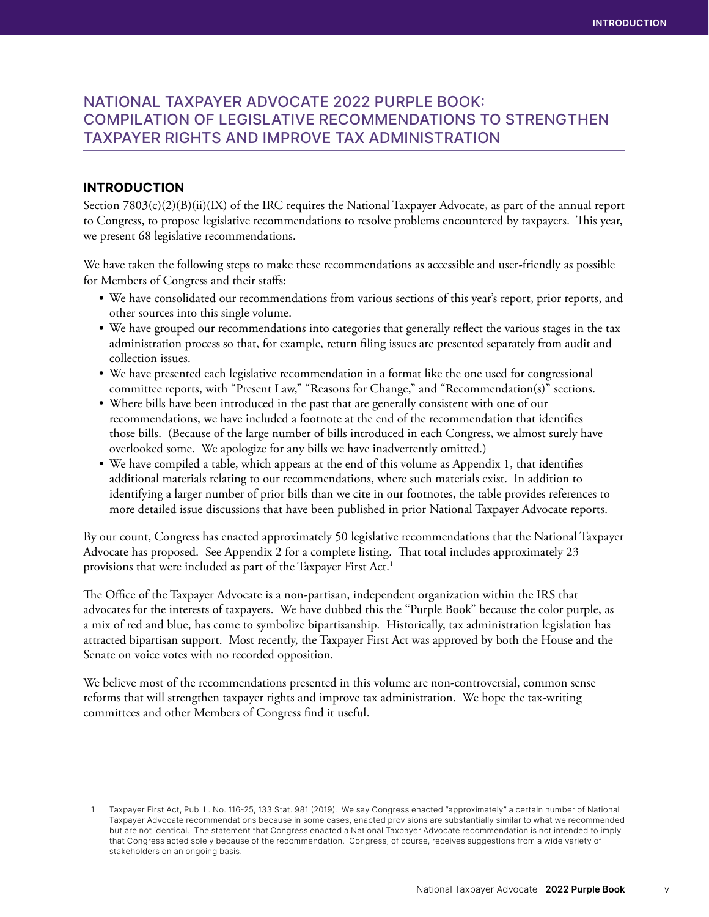## NATIONAL TAXPAYER ADVOCATE 2022 PURPLE BOOK: COMPILATION OF LEGISLATIVE RECOMMENDATIONS TO STRENGTHEN TAXPAYER RIGHTS AND IMPROVE TAX ADMINISTRATION

## INTRODUCTION

Section 7803(c)(2)(B)(ii)(IX) of the IRC requires the National Taxpayer Advocate, as part of the annual report to Congress, to propose legislative recommendations to resolve problems encountered by taxpayers. This year, we present 68 legislative recommendations.

We have taken the following steps to make these recommendations as accessible and user-friendly as possible for Members of Congress and their staffs:

- We have consolidated our recommendations from various sections of this year's report, prior reports, and other sources into this single volume.
- We have grouped our recommendations into categories that generally reflect the various stages in the tax administration process so that, for example, return filing issues are presented separately from audit and collection issues.
- We have presented each legislative recommendation in a format like the one used for congressional committee reports, with "Present Law," "Reasons for Change," and "Recommendation(s)" sections.
- Where bills have been introduced in the past that are generally consistent with one of our recommendations, we have included a footnote at the end of the recommendation that identifies those bills. (Because of the large number of bills introduced in each Congress, we almost surely have overlooked some. We apologize for any bills we have inadvertently omitted.)
- We have compiled a table, which appears at the end of this volume as Appendix 1, that identifies additional materials relating to our recommendations, where such materials exist. In addition to identifying a larger number of prior bills than we cite in our footnotes, the table provides references to more detailed issue discussions that have been published in prior National Taxpayer Advocate reports.

By our count, Congress has enacted approximately 50 legislative recommendations that the National Taxpayer Advocate has proposed. See Appendix 2 for a complete listing. That total includes approximately 23 provisions that were included as part of the Taxpayer First Act.1

The Office of the Taxpayer Advocate is a non-partisan, independent organization within the IRS that advocates for the interests of taxpayers. We have dubbed this the "Purple Book" because the color purple, as a mix of red and blue, has come to symbolize bipartisanship. Historically, tax administration legislation has attracted bipartisan support. Most recently, the Taxpayer First Act was approved by both the House and the Senate on voice votes with no recorded opposition.

We believe most of the recommendations presented in this volume are non-controversial, common sense reforms that will strengthen taxpayer rights and improve tax administration. We hope the tax-writing committees and other Members of Congress find it useful.

<sup>1</sup> Taxpayer First Act, Pub. L. No. 116-25, 133 Stat. 981 (2019). We say Congress enacted "approximately" a certain number of National Taxpayer Advocate recommendations because in some cases, enacted provisions are substantially similar to what we recommended but are not identical. The statement that Congress enacted a National Taxpayer Advocate recommendation is not intended to imply that Congress acted solely because of the recommendation. Congress, of course, receives suggestions from a wide variety of stakeholders on an ongoing basis.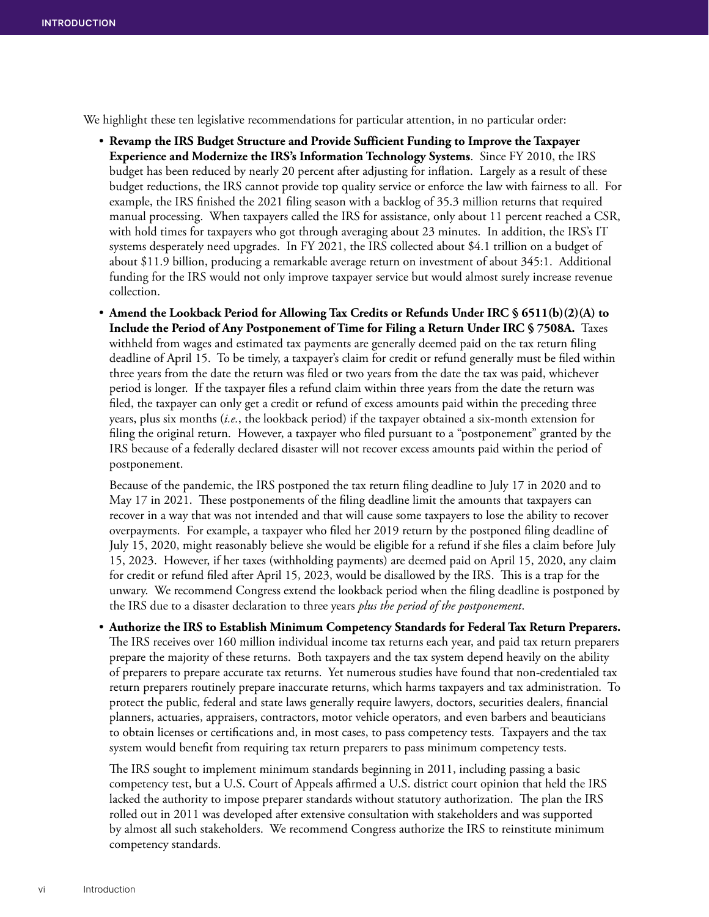We highlight these ten legislative recommendations for particular attention, in no particular order:

- **Revamp the IRS Budget Structure and Provide Sufficient Funding to Improve the Taxpayer Experience and Modernize the IRS's Information Technology Systems**. Since FY 2010, the IRS budget has been reduced by nearly 20 percent after adjusting for inflation. Largely as a result of these budget reductions, the IRS cannot provide top quality service or enforce the law with fairness to all. For example, the IRS finished the 2021 filing season with a backlog of 35.3 million returns that required manual processing. When taxpayers called the IRS for assistance, only about 11 percent reached a CSR, with hold times for taxpayers who got through averaging about 23 minutes. In addition, the IRS's IT systems desperately need upgrades. In FY 2021, the IRS collected about \$4.1 trillion on a budget of about \$11.9 billion, producing a remarkable average return on investment of about 345:1. Additional funding for the IRS would not only improve taxpayer service but would almost surely increase revenue collection.
- **Amend the Lookback Period for Allowing Tax Credits or Refunds Under IRC § 6511(b)(2)(A) to Include the Period of Any Postponement of Time for Filing a Return Under IRC § 7508A.** Taxes withheld from wages and estimated tax payments are generally deemed paid on the tax return filing deadline of April 15. To be timely, a taxpayer's claim for credit or refund generally must be filed within three years from the date the return was filed or two years from the date the tax was paid, whichever period is longer. If the taxpayer files a refund claim within three years from the date the return was filed, the taxpayer can only get a credit or refund of excess amounts paid within the preceding three years, plus six months (*i.e.*, the lookback period) if the taxpayer obtained a six-month extension for filing the original return. However, a taxpayer who filed pursuant to a "postponement" granted by the IRS because of a federally declared disaster will not recover excess amounts paid within the period of postponement.

Because of the pandemic, the IRS postponed the tax return filing deadline to July 17 in 2020 and to May 17 in 2021. These postponements of the filing deadline limit the amounts that taxpayers can recover in a way that was not intended and that will cause some taxpayers to lose the ability to recover overpayments. For example, a taxpayer who filed her 2019 return by the postponed filing deadline of July 15, 2020, might reasonably believe she would be eligible for a refund if she files a claim before July 15, 2023. However, if her taxes (withholding payments) are deemed paid on April 15, 2020, any claim for credit or refund filed after April 15, 2023, would be disallowed by the IRS. This is a trap for the unwary. We recommend Congress extend the lookback period when the filing deadline is postponed by the IRS due to a disaster declaration to three years *plus the period of the postponement*.

• **Authorize the IRS to Establish Minimum Competency Standards for Federal Tax Return Preparers.**  The IRS receives over 160 million individual income tax returns each year, and paid tax return preparers prepare the majority of these returns. Both taxpayers and the tax system depend heavily on the ability of preparers to prepare accurate tax returns. Yet numerous studies have found that non-credentialed tax return preparers routinely prepare inaccurate returns, which harms taxpayers and tax administration. To protect the public, federal and state laws generally require lawyers, doctors, securities dealers, financial planners, actuaries, appraisers, contractors, motor vehicle operators, and even barbers and beauticians to obtain licenses or certifications and, in most cases, to pass competency tests. Taxpayers and the tax system would benefit from requiring tax return preparers to pass minimum competency tests.

The IRS sought to implement minimum standards beginning in 2011, including passing a basic competency test, but a U.S. Court of Appeals affirmed a U.S. district court opinion that held the IRS lacked the authority to impose preparer standards without statutory authorization. The plan the IRS rolled out in 2011 was developed after extensive consultation with stakeholders and was supported by almost all such stakeholders. We recommend Congress authorize the IRS to reinstitute minimum competency standards.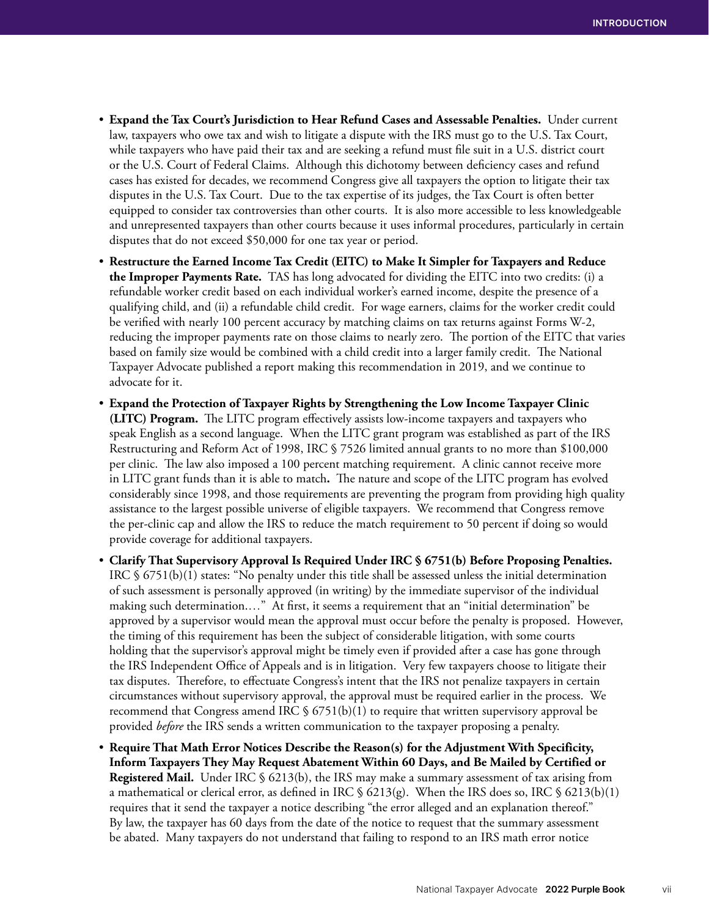- **Expand the Tax Court's Jurisdiction to Hear Refund Cases and Assessable Penalties.** Under current law, taxpayers who owe tax and wish to litigate a dispute with the IRS must go to the U.S. Tax Court, while taxpayers who have paid their tax and are seeking a refund must file suit in a U.S. district court or the U.S. Court of Federal Claims. Although this dichotomy between deficiency cases and refund cases has existed for decades, we recommend Congress give all taxpayers the option to litigate their tax disputes in the U.S. Tax Court. Due to the tax expertise of its judges, the Tax Court is often better equipped to consider tax controversies than other courts. It is also more accessible to less knowledgeable and unrepresented taxpayers than other courts because it uses informal procedures, particularly in certain disputes that do not exceed \$50,000 for one tax year or period.
- **Restructure the Earned Income Tax Credit (EITC) to Make It Simpler for Taxpayers and Reduce the Improper Payments Rate.** TAS has long advocated for dividing the EITC into two credits: (i) a refundable worker credit based on each individual worker's earned income, despite the presence of a qualifying child, and (ii) a refundable child credit. For wage earners, claims for the worker credit could be verified with nearly 100 percent accuracy by matching claims on tax returns against Forms W-2, reducing the improper payments rate on those claims to nearly zero. The portion of the EITC that varies based on family size would be combined with a child credit into a larger family credit. The National Taxpayer Advocate published a report making this recommendation in 2019, and we continue to advocate for it.
- **Expand the Protection of Taxpayer Rights by Strengthening the Low Income Taxpayer Clinic (LITC) Program.** The LITC program effectively assists low-income taxpayers and taxpayers who speak English as a second language.When the LITC grant program was established as part of the IRS Restructuring and Reform Act of 1998, IRC § 7526 limited annual grants to no more than \$100,000 per clinic. The law also imposed a 100 percent matching requirement. A clinic cannot receive more in LITC grant funds than it is able to match**.** The nature and scope of the LITC program has evolved considerably since 1998, and those requirements are preventing the program from providing high quality assistance to the largest possible universe of eligible taxpayers. We recommend that Congress remove the per-clinic cap and allow the IRS to reduce the match requirement to 50 percent if doing so would provide coverage for additional taxpayers.
- **Clarify That Supervisory Approval Is Required Under IRC § 6751(b) Before Proposing Penalties.**  IRC § 6751(b)(1) states: "No penalty under this title shall be assessed unless the initial determination of such assessment is personally approved (in writing) by the immediate supervisor of the individual making such determination.…" At first, it seems a requirement that an "initial determination" be approved by a supervisor would mean the approval must occur before the penalty is proposed. However, the timing of this requirement has been the subject of considerable litigation, with some courts holding that the supervisor's approval might be timely even if provided after a case has gone through the IRS Independent Office of Appeals and is in litigation. Very few taxpayers choose to litigate their tax disputes. Therefore, to effectuate Congress's intent that the IRS not penalize taxpayers in certain circumstances without supervisory approval, the approval must be required earlier in the process. We recommend that Congress amend IRC  $\frac{1}{2}$  6751(b)(1) to require that written supervisory approval be provided *before* the IRS sends a written communication to the taxpayer proposing a penalty.
- **Require That Math Error Notices Describe the Reason(s) for the Adjustment With Specificity, Inform Taxpayers They May Request Abatement Within 60 Days, and Be Mailed by Certified or Registered Mail.** Under IRC § 6213(b), the IRS may make a summary assessment of tax arising from a mathematical or clerical error, as defined in IRC  $\S$  6213(g). When the IRS does so, IRC  $\S$  6213(b)(1) requires that it send the taxpayer a notice describing "the error alleged and an explanation thereof." By law, the taxpayer has 60 days from the date of the notice to request that the summary assessment be abated. Many taxpayers do not understand that failing to respond to an IRS math error notice